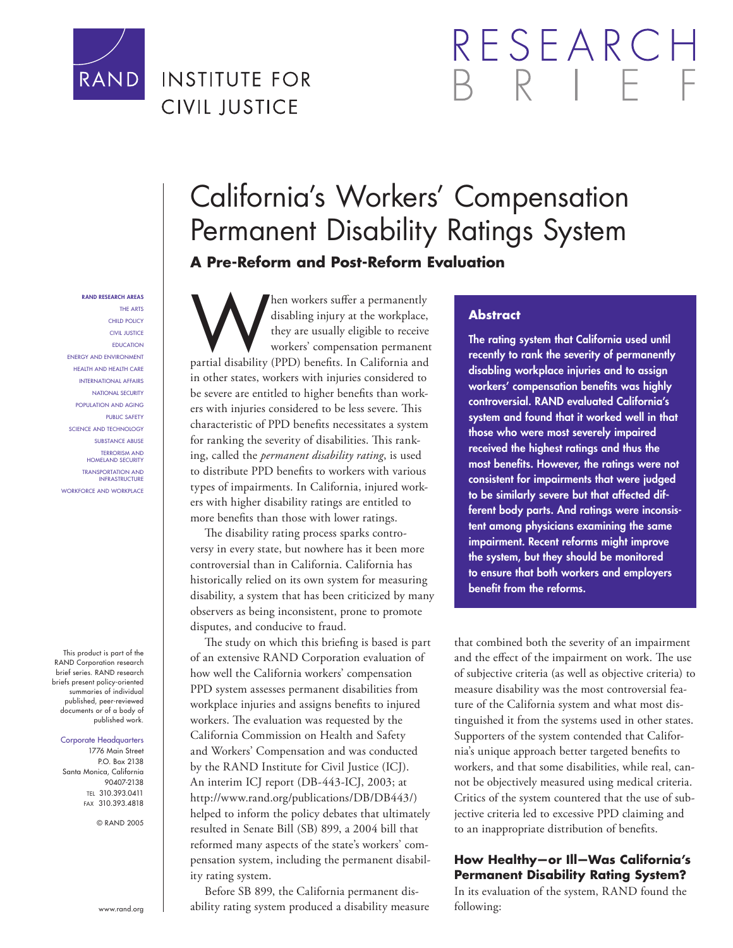

## **INSTITUTE FOR CIVIL JUSTICE**

# RESEARC

#### **RAND RESEARCH AREAS** THE ARTS

CHILD POLICY CIVIL JUSTICE EDUCATION ENERGY AND ENVIRONMENT HEALTH AND HEALTH CARE INTERNATIONAL AFFAIRS NATIONAL SECURITY POPULATION AND AGING PUBLIC SAFETY SCIENCE AND TECHNOLOGY SUBSTANCE ABUSE TERRORISM AND HOMELAND SECURITY TRANSPORTATION AND INFRASTRUCTURE WORKFORCE AND WORKPLACE

This product is part of the RAND Corporation research brief series. RAND research briefs present policy-oriented summaries of individual published, peer-reviewed documents or of a body of published work.

#### Corporate Headquarters

1776 Main Street P.O. Box 2138 Santa Monica, California 90407-2138 TEL 310.393.0411 FAX 310.393.4818

© RAND 2005

Men workers suffer a permanently<br>disabling injury at the workplace,<br>they are usually eligible to receive<br>workers' compensation permanent<br>partial disability (PPD) benefits. In California and disabling injury at the workplace, they are usually eligible to receive workers' compensation permanent in other states, workers with injuries considered to be severe are entitled to higher benefits than workers with injuries considered to be less severe. This characteristic of PPD benefits necessitates a system for ranking the severity of disabilities. This ranking, called the *permanent disability rating*, is used to distribute PPD benefits to workers with various types of impairments. In California, injured workers with higher disability ratings are entitled to more benefits than those with lower ratings.

**A Pre-Reform and Post-Reform Evaluation**

The disability rating process sparks controversy in every state, but nowhere has it been more controversial than in California. California has historically relied on its own system for measuring disability, a system that has been criticized by many observers as being inconsistent, prone to promote disputes, and conducive to fraud.

The study on which this briefing is based is part of an extensive RAND Corporation evaluation of how well the California workers' compensation PPD system assesses permanent disabilities from workplace injuries and assigns benefits to injured workers. The evaluation was requested by the California Commission on Health and Safety and Workers' Compensation and was conducted by the RAND Institute for Civil Justice (ICJ). An interim ICJ report (DB-443-ICJ, 2003; at http://www.rand.org/publications/DB/DB443/) helped to inform the policy debates that ultimately resulted in Senate Bill (SB) 899, a 2004 bill that reformed many aspects of the state's workers' compensation system, including the permanent disability rating system.

Before SB 899, the California permanent disability rating system produced a disability measure

#### **Abstract**

California's Workers' Compensation

Permanent Disability Ratings System

**The rating system that California used until recently to rank the severity of permanently disabling workplace injuries and to assign**  workers' compensation benefits was highly **controversial. RAND evaluated California's system and found that it worked well in that those who were most severely impaired received the highest ratings and thus the**  most benefits. However, the ratings were not **consistent for impairments that were judged to be similarly severe but that affected different body parts. And ratings were inconsistent among physicians examining the same impairment. Recent reforms might improve the system, but they should be monitored to ensure that both workers and employers benefit from the reforms.** 

that combined both the severity of an impairment and the effect of the impairment on work. The use of subjective criteria (as well as objective criteria) to measure disability was the most controversial feature of the California system and what most distinguished it from the systems used in other states. Supporters of the system contended that California's unique approach better targeted benefits to workers, and that some disabilities, while real, cannot be objectively measured using medical criteria. Critics of the system countered that the use of subjective criteria led to excessive PPD claiming and to an inappropriate distribution of benefits.

#### **How Healthy—or Ill—Was California's Permanent Disability Rating System?**

In its evaluation of the system, RAND found the following:

www.rand.org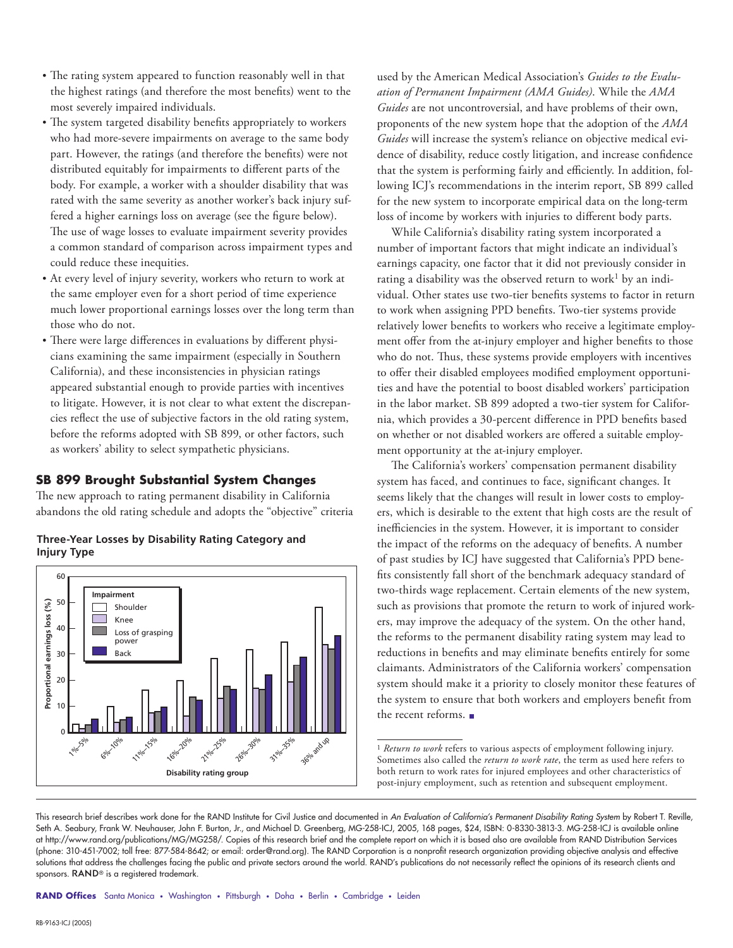- The rating system appeared to function reasonably well in that the highest ratings (and therefore the most benefits) went to the most severely impaired individuals.
- The system targeted disability benefits appropriately to workers who had more-severe impairments on average to the same body part. However, the ratings (and therefore the benefits) were not distributed equitably for impairments to different parts of the body. For example, a worker with a shoulder disability that was rated with the same severity as another worker's back injury suffered a higher earnings loss on average (see the figure below). The use of wage losses to evaluate impairment severity provides a common standard of comparison across impairment types and could reduce these inequities.
- At every level of injury severity, workers who return to work at the same employer even for a short period of time experience much lower proportional earnings losses over the long term than those who do not.
- There were large differences in evaluations by different physicians examining the same impairment (especially in Southern California), and these inconsistencies in physician ratings appeared substantial enough to provide parties with incentives to litigate. However, it is not clear to what extent the discrepancies reflect the use of subjective factors in the old rating system, before the reforms adopted with SB 899, or other factors, such as workers' ability to select sympathetic physicians.

#### **SB 899 Brought Substantial System Changes**

The new approach to rating permanent disability in California abandons the old rating schedule and adopts the "objective" criteria



**Three-Year Losses by Disability Rating Category and Injury Type**

used by the American Medical Association's *Guides to the Evaluation of Permanent Impairment (AMA Guides)*. While the *AMA Guides* are not uncontroversial, and have problems of their own, proponents of the new system hope that the adoption of the *AMA Guides* will increase the system's reliance on objective medical evidence of disability, reduce costly litigation, and increase confidence that the system is performing fairly and efficiently. In addition, following ICJ's recommendations in the interim report, SB 899 called for the new system to incorporate empirical data on the long-term loss of income by workers with injuries to different body parts.

While California's disability rating system incorporated a number of important factors that might indicate an individual's earnings capacity, one factor that it did not previously consider in rating a disability was the observed return to work<sup>1</sup> by an individual. Other states use two-tier benefits systems to factor in return to work when assigning PPD benefits. Two-tier systems provide relatively lower benefits to workers who receive a legitimate employment offer from the at-injury employer and higher benefits to those who do not. Thus, these systems provide employers with incentives to offer their disabled employees modified employment opportunities and have the potential to boost disabled workers' participation in the labor market. SB 899 adopted a two-tier system for California, which provides a 30-percent difference in PPD benefits based on whether or not disabled workers are offered a suitable employment opportunity at the at-injury employer.

The California's workers' compensation permanent disability system has faced, and continues to face, significant changes. It seems likely that the changes will result in lower costs to employers, which is desirable to the extent that high costs are the result of inefficiencies in the system. However, it is important to consider the impact of the reforms on the adequacy of benefits. A number of past studies by ICJ have suggested that California's PPD benefits consistently fall short of the benchmark adequacy standard of two-thirds wage replacement. Certain elements of the new system, such as provisions that promote the return to work of injured workers, may improve the adequacy of the system. On the other hand, the reforms to the permanent disability rating system may lead to reductions in benefits and may eliminate benefits entirely for some claimants. Administrators of the California workers' compensation system should make it a priority to closely monitor these features of the system to ensure that both workers and employers benefit from the recent reforms.

RAND Offices Santa Monica • Washington • Pittsburgh • Doha • Berlin • Cambridge • Leiden

<sup>&</sup>lt;sup>1</sup> *Return to work* refers to various aspects of employment following injury. Sometimes also called the *return to work rate*, the term as used here refers to both return to work rates for injured employees and other characteristics of post-injury employment, such as retention and subsequent employment.

This research brief describes work done for the RAND Institute for Civil Justice and documented in An Evaluation of California's Permanent Disability Rating System by Robert T. Reville, Seth A. Seabury, Frank W. Neuhauser, John F. Burton, Jr., and Michael D. Greenberg, MG-258-ICJ, 2005, 168 pages, \$24, ISBN: 0-8330-3813-3. MG-258-ICJ is available online at http://www.rand.org/publications/MG/MG258/. Copies of this research brief and the complete report on which it is based also are available from RAND Distribution Services (phone: 310-451-7002; toll free: 877-584-8642; or email: order@rand.org). The RAND Corporation is a nonprofi t research organization providing objective analysis and effective solutions that address the challenges facing the public and private sectors around the world. RAND's publications do not necessarily reflect the opinions of its research clients and sponsors. RAND<sup>®</sup> is a registered trademark.